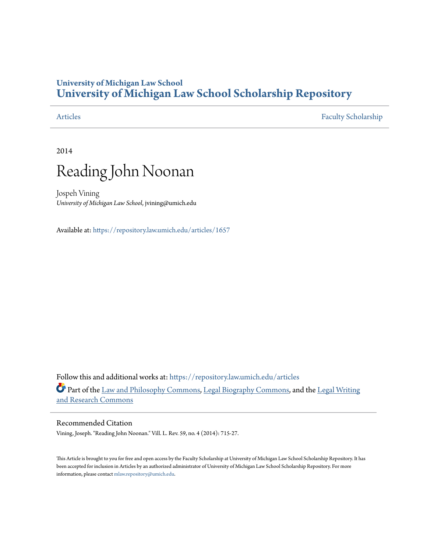# **University of Michigan Law School [University of Michigan Law School Scholarship Repository](https://repository.law.umich.edu?utm_source=repository.law.umich.edu%2Farticles%2F1657&utm_medium=PDF&utm_campaign=PDFCoverPages)**

[Articles](https://repository.law.umich.edu/articles?utm_source=repository.law.umich.edu%2Farticles%2F1657&utm_medium=PDF&utm_campaign=PDFCoverPages) [Faculty Scholarship](https://repository.law.umich.edu/faculty_scholarship?utm_source=repository.law.umich.edu%2Farticles%2F1657&utm_medium=PDF&utm_campaign=PDFCoverPages)

2014



Jospeh Vining *University of Michigan Law School*, jvining@umich.edu

Available at: <https://repository.law.umich.edu/articles/1657>

Follow this and additional works at: [https://repository.law.umich.edu/articles](https://repository.law.umich.edu/articles?utm_source=repository.law.umich.edu%2Farticles%2F1657&utm_medium=PDF&utm_campaign=PDFCoverPages) Part of the [Law and Philosophy Commons](http://network.bepress.com/hgg/discipline/1299?utm_source=repository.law.umich.edu%2Farticles%2F1657&utm_medium=PDF&utm_campaign=PDFCoverPages), [Legal Biography Commons,](http://network.bepress.com/hgg/discipline/834?utm_source=repository.law.umich.edu%2Farticles%2F1657&utm_medium=PDF&utm_campaign=PDFCoverPages) and the [Legal Writing](http://network.bepress.com/hgg/discipline/614?utm_source=repository.law.umich.edu%2Farticles%2F1657&utm_medium=PDF&utm_campaign=PDFCoverPages) [and Research Commons](http://network.bepress.com/hgg/discipline/614?utm_source=repository.law.umich.edu%2Farticles%2F1657&utm_medium=PDF&utm_campaign=PDFCoverPages)

## Recommended Citation

Vining, Joseph. "Reading John Noonan." Vill. L. Rev. 59, no. 4 (2014): 715-27.

This Article is brought to you for free and open access by the Faculty Scholarship at University of Michigan Law School Scholarship Repository. It has been accepted for inclusion in Articles by an authorized administrator of University of Michigan Law School Scholarship Repository. For more information, please contact [mlaw.repository@umich.edu.](mailto:mlaw.repository@umich.edu)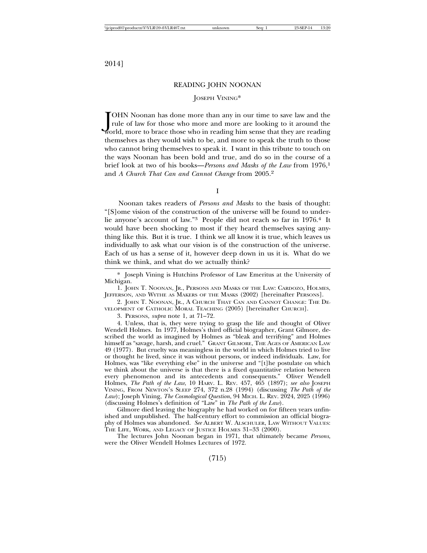#### READING JOHN NOONAN

### JOSEPH VINING\*

JOHN Noonan has done more than any in our time to save law and the rule of law for those who more and more are looking to it around the rule of law for those who in reading him sense that they are reading OHN Noonan has done more than any in our time to save law and the world, more to brace those who in reading him sense that they are reading themselves as they would wish to be, and more to speak the truth to those who cannot bring themselves to speak it. I want in this tribute to touch on the ways Noonan has been bold and true, and do so in the course of a brief look at two of his books—*Persons and Masks of the Law* from 1976,<sup>1</sup> and *A Church That Can and Cannot Change* from 2005.2

I

Noonan takes readers of *Persons and Masks* to the basis of thought: "[S]ome vision of the construction of the universe will be found to underlie anyone's account of law."3 People did not reach so far in 1976.4 It would have been shocking to most if they heard themselves saying anything like this. But it is true. I think we all know it is true, which leaves us individually to ask what our vision is of the construction of the universe. Each of us has a sense of it, however deep down in us it is. What do we think we think, and what do we actually think?

\* Joseph Vining is Hutchins Professor of Law Emeritus at the University of Michigan.

1. JOHN T. NOONAN, JR., PERSONS AND MASKS OF THE LAW: CARDOZO, HOLMES, JEFFERSON, AND WYTHE AS MAKERS OF THE MASKS (2002) [hereinafter PERSONS].

2. JOHN T. NOONAN, JR., A CHURCH THAT CAN AND CANNOT CHANGE: THE DE-VELOPMENT OF CATHOLIC MORAL TEACHING (2005) [hereinafter CHURCH].

3. PERSONS, *supra* note 1, at 71–72.

4. Unless, that is, they were trying to grasp the life and thought of Oliver Wendell Holmes. In 1977, Holmes's third official biographer, Grant Gilmore, described the world as imagined by Holmes as "bleak and terrifying" and Holmes himself as "savage, harsh, and cruel." GRANT GILMORE, THE AGES OF AMERICAN LAW 49 (1977). But cruelty was meaningless in the world in which Holmes tried to live or thought he lived, since it was without persons, or indeed individuals. Law, for Holmes, was "like everything else" in the universe and "[t]he postulate on which we think about the universe is that there is a fixed quantitative relation between every phenomenon and its antecedents and consequents." Oliver Wendell Holmes, *The Path of the Law*, 10 HARV. L. REV. 457, 465 (1897); *see also* JOSEPH VINING, FROM NEWTON'S SLEEP 274, 372 n.28 (1994) (discussing *The Path of the Law*); Joseph Vining, *The Cosmological Question*, 94 MICH. L. REV. 2024, 2025 (1996) (discussing Holmes's definition of "Law" in *The Path of the Law*).

Gilmore died leaving the biography he had worked on for fifteen years unfinished and unpublished. The half-century effort to commission an official biography of Holmes was abandoned. *See* ALBERT W. ALSCHULER, LAW WITHOUT VALUES: THE LIFE, WORK, AND LEGACY OF JUSTICE HOLMES 31–33 (2000).

The lectures John Noonan began in 1971, that ultimately became *Persons*, were the Oliver Wendell Holmes Lectures of 1972.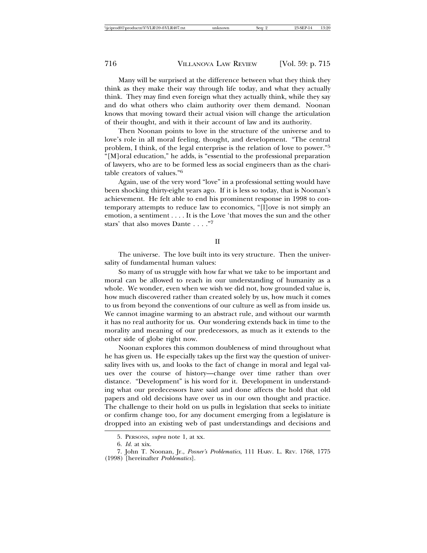Many will be surprised at the difference between what they think they think as they make their way through life today, and what they actually think. They may find even foreign what they actually think, while they say and do what others who claim authority over them demand. Noonan knows that moving toward their actual vision will change the articulation of their thought, and with it their account of law and its authority.

Then Noonan points to love in the structure of the universe and to love's role in all moral feeling, thought, and development. "The central problem, I think, of the legal enterprise is the relation of love to power."5 "[M]oral education," he adds, is "essential to the professional preparation of lawyers, who are to be formed less as social engineers than as the charitable creators of values."6

Again, use of the very word "love" in a professional setting would have been shocking thirty-eight years ago. If it is less so today, that is Noonan's achievement. He felt able to end his prominent response in 1998 to contemporary attempts to reduce law to economics, "[l]ove is not simply an emotion, a sentiment . . . . It is the Love 'that moves the sun and the other stars' that also moves Dante . . . ."7

II

The universe. The love built into its very structure. Then the universality of fundamental human values:

So many of us struggle with how far what we take to be important and moral can be allowed to reach in our understanding of humanity as a whole. We wonder, even when we wish we did not, how grounded value is, how much discovered rather than created solely by us, how much it comes to us from beyond the conventions of our culture as well as from inside us. We cannot imagine warming to an abstract rule, and without our warmth it has no real authority for us. Our wondering extends back in time to the morality and meaning of our predecessors, as much as it extends to the other side of globe right now.

Noonan explores this common doubleness of mind throughout what he has given us. He especially takes up the first way the question of universality lives with us, and looks to the fact of change in moral and legal values over the course of history—change over time rather than over distance. "Development" is his word for it. Development in understanding what our predecessors have said and done affects the hold that old papers and old decisions have over us in our own thought and practice. The challenge to their hold on us pulls in legislation that seeks to initiate or confirm change too, for any document emerging from a legislature is dropped into an existing web of past understandings and decisions and

<sup>5.</sup> PERSONS, *supra* note 1, at xx.

<sup>6.</sup> *Id.* at xix.

<sup>7.</sup> John T. Noonan, Jr., *Posner's Problematics*, 111 HARV. L. REV. 1768, 1775 (1998) [hereinafter *Problematics*].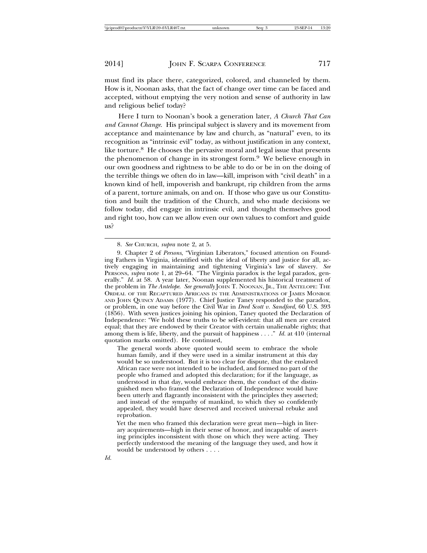must find its place there, categorized, colored, and channeled by them. How is it, Noonan asks, that the fact of change over time can be faced and accepted, without emptying the very notion and sense of authority in law and religious belief today?

Here I turn to Noonan's book a generation later, *A Church That Can and Cannot Change*. His principal subject is slavery and its movement from acceptance and maintenance by law and church, as "natural" even, to its recognition as "intrinsic evil" today, as without justification in any context, like torture.<sup>8</sup> He chooses the pervasive moral and legal issue that presents the phenomenon of change in its strongest form.9 We believe enough in our own goodness and rightness to be able to do or be in on the doing of the terrible things we often do in law—kill, imprison with "civil death" in a known kind of hell, impoverish and bankrupt, rip children from the arms of a parent, torture animals, on and on. If those who gave us our Constitution and built the tradition of the Church, and who made decisions we follow today, did engage in intrinsic evil, and thought themselves good and right too, how can we allow even our own values to comfort and guide us?

8. *See* CHURCH, *supra* note 2, at 5.

9. Chapter 2 of *Persons*, "Virginian Liberators," focused attention on Founding Fathers in Virginia, identified with the ideal of liberty and justice for all, actively engaging in maintaining and tightening Virginia's law of slavery. *See* PERSONS, *supra* note 1, at 29–64. "The Virginia paradox is the legal paradox, generally." *Id.* at 58. A year later, Noonan supplemented his historical treatment of the problem in *The Antelope*. *See generally* JOHN T. NOONAN, JR., THE ANTELOPE: THE ORDEAL OF THE RECAPTURED AFRICANS IN THE ADMINISTRATIONS OF JAMES MONROE AND JOHN QUINCY ADAMS (1977). Chief Justice Taney responded to the paradox, or problem, in one way before the Civil War in *Dred Scott v. Sandford*, 60 U.S. 393 (1856). With seven justices joining his opinion, Taney quoted the Declaration of Independence: "We hold these truths to be self-evident: that all men are created equal; that they are endowed by their Creator with certain unalienable rights; that among them is life, liberty, and the pursuit of happiness . . . ." *Id.* at 410 (internal quotation marks omitted). He continued,

The general words above quoted would seem to embrace the whole human family, and if they were used in a similar instrument at this day would be so understood. But it is too clear for dispute, that the enslaved African race were not intended to be included, and formed no part of the people who framed and adopted this declaration; for if the language, as understood in that day, would embrace them, the conduct of the distinguished men who framed the Declaration of Independence would have been utterly and flagrantly inconsistent with the principles they asserted; and instead of the sympathy of mankind, to which they so confidently appealed, they would have deserved and received universal rebuke and reprobation.

Yet the men who framed this declaration were great men—high in literary acquirements—high in their sense of honor, and incapable of asserting principles inconsistent with those on which they were acting. They perfectly understood the meaning of the language they used, and how it would be understood by others . . . .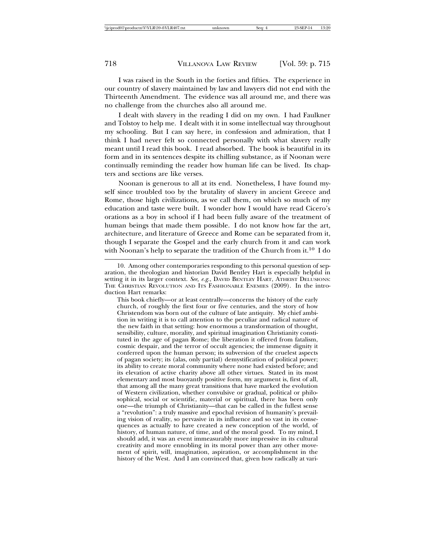I was raised in the South in the forties and fifties. The experience in our country of slavery maintained by law and lawyers did not end with the Thirteenth Amendment. The evidence was all around me, and there was no challenge from the churches also all around me.

I dealt with slavery in the reading I did on my own. I had Faulkner and Tolstoy to help me. I dealt with it in some intellectual way throughout my schooling. But I can say here, in confession and admiration, that I think I had never felt so connected personally with what slavery really meant until I read this book. I read absorbed. The book is beautiful in its form and in its sentences despite its chilling substance, as if Noonan were continually reminding the reader how human life can be lived. Its chapters and sections are like verses.

Noonan is generous to all at its end. Nonetheless, I have found myself since troubled too by the brutality of slavery in ancient Greece and Rome, those high civilizations, as we call them, on which so much of my education and taste were built. I wonder how I would have read Cicero's orations as a boy in school if I had been fully aware of the treatment of human beings that made them possible. I do not know how far the art, architecture, and literature of Greece and Rome can be separated from it, though I separate the Gospel and the early church from it and can work with Noonan's help to separate the tradition of the Church from  $it^{10}$  I do

This book chiefly—or at least centrally—concerns the history of the early church, of roughly the first four or five centuries, and the story of how Christendom was born out of the culture of late antiquity. My chief ambition in writing it is to call attention to the peculiar and radical nature of the new faith in that setting: how enormous a transformation of thought, sensibility, culture, morality, and spiritual imagination Christianity constituted in the age of pagan Rome; the liberation it offered from fatalism, cosmic despair, and the terror of occult agencies; the immense dignity it conferred upon the human person; its subversion of the cruelest aspects of pagan society; its (alas, only partial) demystification of political power; its ability to create moral community where none had existed before; and its elevation of active charity above all other virtues. Stated in its most elementary and most buoyantly positive form, my argument is, first of all, that among all the many great transitions that have marked the evolution of Western civilization, whether convulsive or gradual, political or philosophical, social or scientific, material or spiritual, there has been only one—the triumph of Christianity—that can be called in the fullest sense a "revolution": a truly massive and epochal revision of humanity's prevailing vision of reality, so pervasive in its influence and so vast in its consequences as actually to have created a new conception of the world, of history, of human nature, of time, and of the moral good. To my mind, I should add, it was an event immeasurably more impressive in its cultural creativity and more ennobling in its moral power than any other movement of spirit, will, imagination, aspiration, or accomplishment in the history of the West. And I am convinced that, given how radically at vari-

<sup>10.</sup> Among other contemporaries responding to this personal question of separation, the theologian and historian David Bentley Hart is especially helpful in setting it in its larger context. *See, e.g.*, DAVID BENTLEY HART, ATHEIST DELUSIONS: THE CHRISTIAN REVOLUTION AND ITS FASHIONABLE ENEMIES (2009). In the introduction Hart remarks: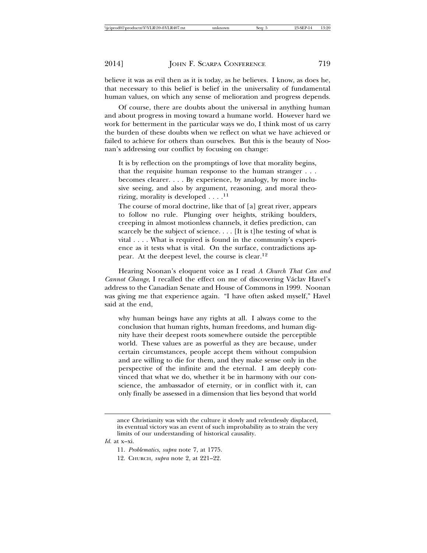believe it was as evil then as it is today, as he believes. I know, as does he, that necessary to this belief is belief in the universality of fundamental human values, on which any sense of melioration and progress depends.

Of course, there are doubts about the universal in anything human and about progress in moving toward a humane world. However hard we work for betterment in the particular ways we do, I think most of us carry the burden of these doubts when we reflect on what we have achieved or failed to achieve for others than ourselves. But this is the beauty of Noonan's addressing our conflict by focusing on change:

It is by reflection on the promptings of love that morality begins, that the requisite human response to the human stranger . . . becomes clearer. . . . By experience, by analogy, by more inclusive seeing, and also by argument, reasoning, and moral theorizing, morality is developed  $\dots$ .<sup>11</sup>

The course of moral doctrine, like that of [a] great river, appears to follow no rule. Plunging over heights, striking boulders, creeping in almost motionless channels, it defies prediction, can scarcely be the subject of science. . . . [It is t]he testing of what is vital . . . . What is required is found in the community's experience as it tests what is vital. On the surface, contradictions appear. At the deepest level, the course is clear.12

Hearing Noonan's eloquent voice as I read *A Church That Can and Cannot Change*, I recalled the effect on me of discovering Vaclav Havel's address to the Canadian Senate and House of Commons in 1999. Noonan was giving me that experience again. "I have often asked myself," Havel said at the end,

why human beings have any rights at all. I always come to the conclusion that human rights, human freedoms, and human dignity have their deepest roots somewhere outside the perceptible world. These values are as powerful as they are because, under certain circumstances, people accept them without compulsion and are willing to die for them, and they make sense only in the perspective of the infinite and the eternal. I am deeply convinced that what we do, whether it be in harmony with our conscience, the ambassador of eternity, or in conflict with it, can only finally be assessed in a dimension that lies beyond that world

*Id.* at x–xi.

12. CHURCH, *supra* note 2, at 221–22.

ance Christianity was with the culture it slowly and relentlessly displaced, its eventual victory was an event of such improbability as to strain the very limits of our understanding of historical causality.

<sup>11.</sup> *Problematics*, *supra* note 7, at 1775.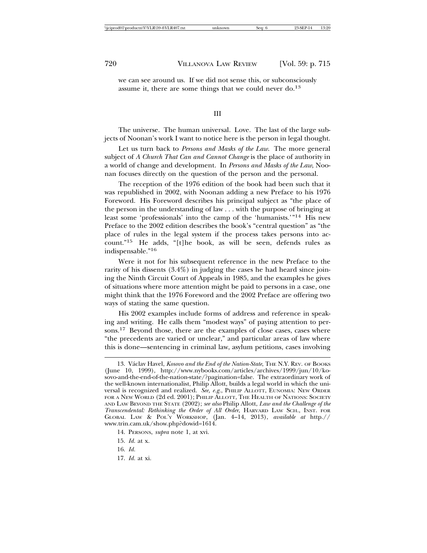we can see around us. If we did not sense this, or subconsciously assume it, there are some things that we could never  $d_0$ .<sup>13</sup>

#### III

The universe. The human universal. Love. The last of the large subjects of Noonan's work I want to notice here is the person in legal thought.

Let us turn back to *Persons and Masks of the Law*. The more general subject of *A Church That Can and Cannot Change* is the place of authority in a world of change and development. In *Persons and Masks of the Law*, Noonan focuses directly on the question of the person and the personal.

The reception of the 1976 edition of the book had been such that it was republished in 2002, with Noonan adding a new Preface to his 1976 Foreword. His Foreword describes his principal subject as "the place of the person in the understanding of law . . . with the purpose of bringing at least some 'professionals' into the camp of the 'humanists.'"14 His new Preface to the 2002 edition describes the book's "central question" as "the place of rules in the legal system if the process takes persons into account."15 He adds, "[t]he book, as will be seen, defends rules as indispensable."<sup>16</sup>

Were it not for his subsequent reference in the new Preface to the rarity of his dissents (3.4%) in judging the cases he had heard since joining the Ninth Circuit Court of Appeals in 1985, and the examples he gives of situations where more attention might be paid to persons in a case, one might think that the 1976 Foreword and the 2002 Preface are offering two ways of stating the same question.

His 2002 examples include forms of address and reference in speaking and writing. He calls them "modest ways" of paying attention to persons.17 Beyond those, there are the examples of close cases, cases where "the precedents are varied or unclear," and particular areas of law where this is done—sentencing in criminal law, asylum petitions, cases involving

14. PERSONS, *supra* note 1, at xvi.

- 16. *Id.*
- 17. *Id.* at xi.

<sup>13.</sup> Václav Havel, *Kosovo and the End of the Nation-State*, THE N.Y. REV. OF BOOKS (June 10, 1999), http://www.nybooks.com/articles/archives/1999/jun/10/kosovo-and-the-end-of-the-nation-state/?pagination=false. The extraordinary work of the well-known internationalist, Philip Allott, builds a legal world in which the universal is recognized and realized. *See, e.g.*, PHILIP ALLOTT, EUNOMIA: NEW ORDER FOR A NEW WORLD (2d ed. 2001); PHILIP ALLOTT, THE HEALTH OF NATIONS: SOCIETY AND LAW BEYOND THE STATE (2002); *see also* Philip Allott, *Law and the Challenge of the Transcendental: Rethinking the Order of All Order*, HARVARD LAW SCH., INST. FOR GLOBAL LAW & POL'Y WORKSHOP, (Jan. 4–14, 2013), *available at* http.// www.trin.cam.uk/show.php?dowid=1614.

<sup>15.</sup> *Id.* at x.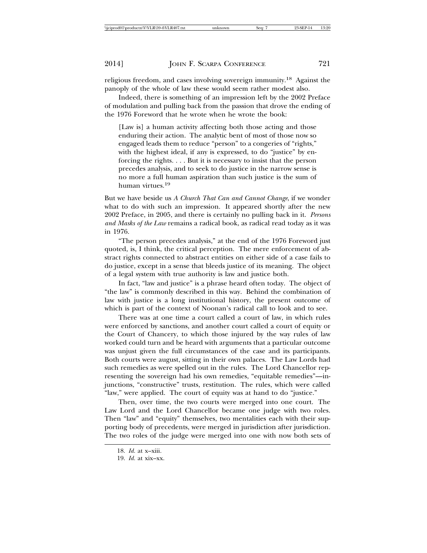religious freedom, and cases involving sovereign immunity.18 Against the panoply of the whole of law these would seem rather modest also.

Indeed, there is something of an impression left by the 2002 Preface of modulation and pulling back from the passion that drove the ending of the 1976 Foreword that he wrote when he wrote the book:

[Law is] a human activity affecting both those acting and those enduring their action. The analytic bent of most of those now so engaged leads them to reduce "person" to a congeries of "rights," with the highest ideal, if any is expressed, to do "justice" by enforcing the rights. . . . But it is necessary to insist that the person precedes analysis, and to seek to do justice in the narrow sense is no more a full human aspiration than such justice is the sum of human virtues.19

But we have beside us *A Church That Can and Cannot Change*, if we wonder what to do with such an impression. It appeared shortly after the new 2002 Preface, in 2005, and there is certainly no pulling back in it. *Persons and Masks of the Law* remains a radical book, as radical read today as it was in 1976.

"The person precedes analysis," at the end of the 1976 Foreword just quoted, is, I think, the critical perception. The mere enforcement of abstract rights connected to abstract entities on either side of a case fails to do justice, except in a sense that bleeds justice of its meaning. The object of a legal system with true authority is law and justice both.

In fact, "law and justice" is a phrase heard often today. The object of "the law" is commonly described in this way. Behind the combination of law with justice is a long institutional history, the present outcome of which is part of the context of Noonan's radical call to look and to see.

There was at one time a court called a court of law, in which rules were enforced by sanctions, and another court called a court of equity or the Court of Chancery, to which those injured by the way rules of law worked could turn and be heard with arguments that a particular outcome was unjust given the full circumstances of the case and its participants. Both courts were august, sitting in their own palaces. The Law Lords had such remedies as were spelled out in the rules. The Lord Chancellor representing the sovereign had his own remedies, "equitable remedies"—injunctions, "constructive" trusts, restitution. The rules, which were called "law," were applied. The court of equity was at hand to do "justice."

Then, over time, the two courts were merged into one court. The Law Lord and the Lord Chancellor became one judge with two roles. Then "law" and "equity" themselves, two mentalities each with their supporting body of precedents, were merged in jurisdiction after jurisdiction. The two roles of the judge were merged into one with now both sets of

<sup>18.</sup> *Id.* at x–xiii.

<sup>19.</sup> *Id.* at xix–xx.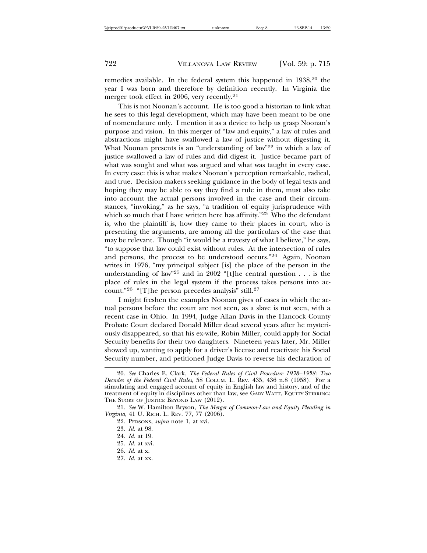remedies available. In the federal system this happened in 1938,<sup>20</sup> the year I was born and therefore by definition recently. In Virginia the merger took effect in 2006, very recently.21

This is not Noonan's account. He is too good a historian to link what he sees to this legal development, which may have been meant to be one of nomenclature only. I mention it as a device to help us grasp Noonan's purpose and vision. In this merger of "law and equity," a law of rules and abstractions might have swallowed a law of justice without digesting it. What Noonan presents is an "understanding of law"22 in which a law of justice swallowed a law of rules and did digest it. Justice became part of what was sought and what was argued and what was taught in every case. In every case: this is what makes Noonan's perception remarkable, radical, and true. Decision makers seeking guidance in the body of legal texts and hoping they may be able to say they find a rule in them, must also take into account the actual persons involved in the case and their circumstances, "invoking," as he says, "a tradition of equity jurisprudence with which so much that I have written here has affinity."<sup>23</sup> Who the defendant is, who the plaintiff is, how they came to their places in court, who is presenting the arguments, are among all the particulars of the case that may be relevant. Though "it would be a travesty of what I believe," he says, "to suppose that law could exist without rules. At the intersection of rules and persons, the process to be understood occurs."24 Again, Noonan writes in 1976, "my principal subject [is] the place of the person in the understanding of law"<sup>25</sup> and in 2002 "[t]he central question  $\dots$  is the place of rules in the legal system if the process takes persons into account."26 "[T]he person precedes analysis" still.27

I might freshen the examples Noonan gives of cases in which the actual persons before the court are not seen, as a slave is not seen, with a recent case in Ohio. In 1994, Judge Allan Davis in the Hancock County Probate Court declared Donald Miller dead several years after he mysteriously disappeared, so that his ex-wife, Robin Miller, could apply for Social Security benefits for their two daughters. Nineteen years later, Mr. Miller showed up, wanting to apply for a driver's license and reactivate his Social Security number, and petitioned Judge Davis to reverse his declaration of

<sup>20.</sup> *See* Charles E. Clark, *The Federal Rules of Civil Procedure 1938–1958: Two Decades of the Federal Civil Rules*, 58 COLUM. L. REV. 435, 436 n.8 (1958). For a stimulating and engaged account of equity in English law and history, and of the treatment of equity in disciplines other than law, see GARY WATT, EQUITY STIRRING: THE STORY OF JUSTICE BEYOND LAW (2012).

<sup>21.</sup> *See* W. Hamilton Bryson, *The Merger of Common-Law and Equity Pleading in Virginia*, 41 U. RICH. L. REV. 77, 77 (2006).

<sup>22.</sup> PERSONS, *supra* note 1, at xvi.

<sup>23.</sup> *Id.* at 98.

<sup>24.</sup> *Id.* at 19.

<sup>25.</sup> *Id.* at xvi.

<sup>26.</sup> *Id.* at x.

<sup>27.</sup> *Id.* at xx.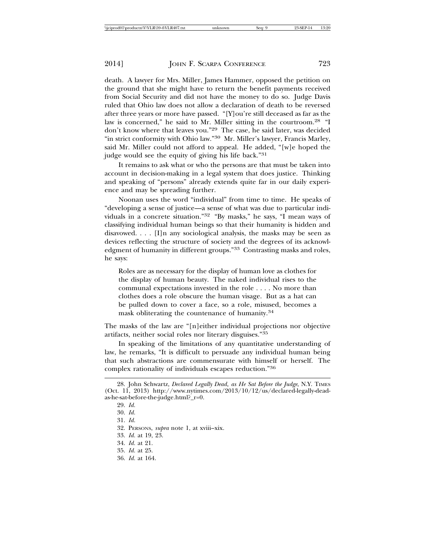death. A lawyer for Mrs. Miller, James Hammer, opposed the petition on the ground that she might have to return the benefit payments received from Social Security and did not have the money to do so. Judge Davis ruled that Ohio law does not allow a declaration of death to be reversed after three years or more have passed. "[Y]ou're still deceased as far as the law is concerned," he said to Mr. Miller sitting in the courtroom.28 "I don't know where that leaves you."29 The case, he said later, was decided "in strict conformity with Ohio law."30 Mr. Miller's lawyer, Francis Marley, said Mr. Miller could not afford to appeal. He added, "[w]e hoped the judge would see the equity of giving his life back."31

It remains to ask what or who the persons are that must be taken into account in decision-making in a legal system that does justice. Thinking and speaking of "persons" already extends quite far in our daily experience and may be spreading further.

Noonan uses the word "individual" from time to time. He speaks of "developing a sense of justice—a sense of what was due to particular individuals in a concrete situation."32 "By masks," he says, "I mean ways of classifying individual human beings so that their humanity is hidden and disavowed. . . . [I]n any sociological analysis, the masks may be seen as devices reflecting the structure of society and the degrees of its acknowledgment of humanity in different groups."33 Contrasting masks and roles, he says:

Roles are as necessary for the display of human love as clothes for the display of human beauty. The naked individual rises to the communal expectations invested in the role . . . . No more than clothes does a role obscure the human visage. But as a hat can be pulled down to cover a face, so a role, misused, becomes a mask obliterating the countenance of humanity.<sup>34</sup>

The masks of the law are "[n]either individual projections nor objective artifacts, neither social roles nor literary disguises."35

In speaking of the limitations of any quantitative understanding of law, he remarks, "It is difficult to persuade any individual human being that such abstractions are commensurate with himself or herself. The complex rationality of individuals escapes reduction."36

36. *Id.* at 164.

<sup>28.</sup> John Schwartz, *Declared Legally Dead, as He Sat Before the Judge*, N.Y. TIMES (Oct. 11, 2013) http://www.nytimes.com/2013/10/12/us/declared-legally-deadas-he-sat-before-the-judge.html?\_r=0.

<sup>29.</sup> *Id.*

<sup>30.</sup> *Id.*

<sup>31.</sup> *Id.*

<sup>32.</sup> PERSONS, *supra* note 1, at xviii–xix.

<sup>33.</sup> *Id.* at 19, 23.

<sup>34.</sup> *Id.* at 21.

<sup>35.</sup> *Id.* at 25.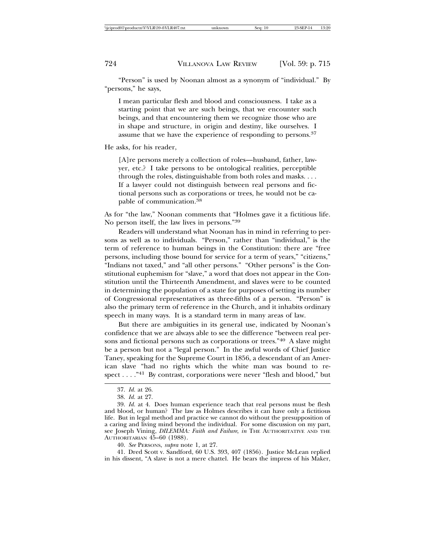"Person" is used by Noonan almost as a synonym of "individual." By "persons," he says,

I mean particular flesh and blood and consciousness. I take as a starting point that we are such beings, that we encounter such beings, and that encountering them we recognize those who are in shape and structure, in origin and destiny, like ourselves. I assume that we have the experience of responding to persons.<sup>37</sup>

He asks, for his reader,

[A]re persons merely a collection of roles—husband, father, lawyer, etc.? I take persons to be ontological realities, perceptible through the roles, distinguishable from both roles and masks. . . . If a lawyer could not distinguish between real persons and fictional persons such as corporations or trees, he would not be capable of communication.38

As for "the law," Noonan comments that "Holmes gave it a fictitious life. No person itself, the law lives in persons."39

Readers will understand what Noonan has in mind in referring to persons as well as to individuals. "Person," rather than "individual," is the term of reference to human beings in the Constitution: there are "free persons, including those bound for service for a term of years," "citizens," "Indians not taxed," and "all other persons." "Other persons" is the Constitutional euphemism for "slave," a word that does not appear in the Constitution until the Thirteenth Amendment, and slaves were to be counted in determining the population of a state for purposes of setting its number of Congressional representatives as three-fifths of a person. "Person" is also the primary term of reference in the Church, and it inhabits ordinary speech in many ways. It is a standard term in many areas of law.

But there are ambiguities in its general use, indicated by Noonan's confidence that we are always able to see the difference "between real persons and fictional persons such as corporations or trees."<sup>40</sup> A slave might be a person but not a "legal person." In the awful words of Chief Justice Taney, speaking for the Supreme Court in 1856, a descendant of an American slave "had no rights which the white man was bound to respect . . . . "41 By contrast, corporations were never "flesh and blood," but

40. *See* PERSONS, *supra* note 1, at 27.

41. Dred Scott v. Sandford, 60 U.S. 393, 407 (1856). Justice McLean replied in his dissent, "A slave is not a mere chattel. He bears the impress of his Maker,

<sup>37.</sup> *Id.* at 26.

<sup>38.</sup> *Id.* at 27.

<sup>39.</sup> *Id.* at 4. Does human experience teach that real persons must be flesh and blood, or human? The law as Holmes describes it can have only a fictitious life. But in legal method and practice we cannot do without the presupposition of a caring and living mind beyond the individual. For some discussion on my part, see Joseph Vining, *DILEMMA: Faith and Failure*, *in* THE AUTHORITATIVE AND THE AUTHORITARIAN 45–60 (1988).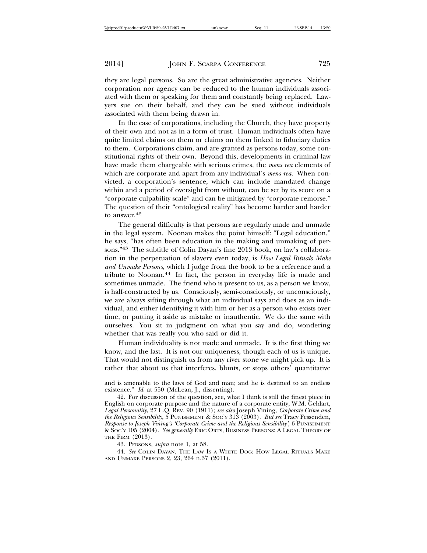they are legal persons. So are the great administrative agencies. Neither corporation nor agency can be reduced to the human individuals associated with them or speaking for them and constantly being replaced. Lawyers sue on their behalf, and they can be sued without individuals associated with them being drawn in.

In the case of corporations, including the Church, they have property of their own and not as in a form of trust. Human individuals often have quite limited claims on them or claims on them linked to fiduciary duties to them. Corporations claim, and are granted as persons today, some constitutional rights of their own. Beyond this, developments in criminal law have made them chargeable with serious crimes, the *mens rea* elements of which are corporate and apart from any individual's *mens rea*. When convicted, a corporation's sentence, which can include mandated change within and a period of oversight from without, can be set by its score on a "corporate culpability scale" and can be mitigated by "corporate remorse." The question of their "ontological reality" has become harder and harder to answer.<sup>42</sup>

The general difficulty is that persons are regularly made and unmade in the legal system. Noonan makes the point himself: "Legal education," he says, "has often been education in the making and unmaking of persons."43 The subtitle of Colin Dayan's fine 2013 book, on law's collaboration in the perpetuation of slavery even today, is *How Legal Rituals Make and Unmake Persons*, which I judge from the book to be a reference and a tribute to Noonan.44 In fact, the person in everyday life is made and sometimes unmade. The friend who is present to us, as a person we know, is half-constructed by us. Consciously, semi-consciously, or unconsciously, we are always sifting through what an individual says and does as an individual, and either identifying it with him or her as a person who exists over time, or putting it aside as mistake or inauthentic. We do the same with ourselves. You sit in judgment on what you say and do, wondering whether that was really you who said or did it.

Human individuality is not made and unmade. It is the first thing we know, and the last. It is not our uniqueness, though each of us is unique. That would not distinguish us from any river stone we might pick up. It is rather that about us that interferes, blunts, or stops others' quantitative

43. PERSONS, *supra* note 1, at 58.

44. *See* COLIN DAYAN, THE LAW IS A WHITE DOG: HOW LEGAL RITUALS MAKE AND UNMAKE PERSONS 2, 23, 264 n.37 (2011).

and is amenable to the laws of God and man; and he is destined to an endless existence." *Id.* at 550 (McLean, J., dissenting).

<sup>42.</sup> For discussion of the question, see, what I think is still the finest piece in English on corporate purpose and the nature of a corporate entity, W.M. Geldart, *Legal Personality*, 27 L.Q. REV. 90 (1911); *see also* Joseph Vining, *Corporate Crime and the Religious Sensibility*, 5 PUNISHMENT & SOC'Y 313 (2003). *But see* Tracy Fessenden, *Response to Joseph Vining's 'Corporate Crime and the Religious Sensibility'*, 6 PUNISHMENT & SOC'Y 105 (2004). *See generally* ERIC ORTS, BUSINESS PERSONS: A LEGAL THEORY OF THE FIRM (2013).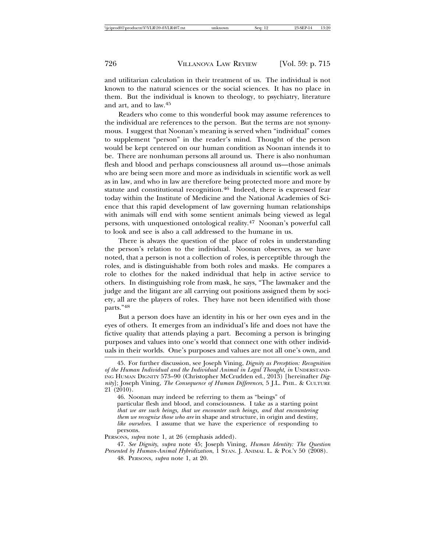and utilitarian calculation in their treatment of us. The individual is not known to the natural sciences or the social sciences. It has no place in them. But the individual is known to theology, to psychiatry, literature and art, and to law.45

Readers who come to this wonderful book may assume references to the individual are references to the person. But the terms are not synonymous. I suggest that Noonan's meaning is served when "individual" comes to supplement "person" in the reader's mind. Thought of the person would be kept centered on our human condition as Noonan intends it to be. There are nonhuman persons all around us. There is also nonhuman flesh and blood and perhaps consciousness all around us—those animals who are being seen more and more as individuals in scientific work as well as in law, and who in law are therefore being protected more and more by statute and constitutional recognition.<sup>46</sup> Indeed, there is expressed fear today within the Institute of Medicine and the National Academies of Science that this rapid development of law governing human relationships with animals will end with some sentient animals being viewed as legal persons, with unquestioned ontological reality.47 Noonan's powerful call to look and see is also a call addressed to the humane in us.

There is always the question of the place of roles in understanding the person's relation to the individual. Noonan observes, as we have noted, that a person is not a collection of roles, is perceptible through the roles, and is distinguishable from both roles and masks. He compares a role to clothes for the naked individual that help in active service to others. In distinguishing role from mask, he says, "The lawmaker and the judge and the litigant are all carrying out positions assigned them by society, all are the players of roles. They have not been identified with those parts."<sup>48</sup>

But a person does have an identity in his or her own eyes and in the eyes of others. It emerges from an individual's life and does not have the fictive quality that attends playing a part. Becoming a person is bringing purposes and values into one's world that connect one with other individuals in their worlds. One's purposes and values are not all one's own, and

46. Noonan may indeed be referring to them as "beings" of particular flesh and blood, and consciousness. I take as a starting point *that we are such beings, that we encounter such beings, and that encountering them we recognize those who are* in shape and structure, in origin and destiny, *like ourselves*. I assume that we have the experience of responding to persons.

PERSONS, *supra* note 1, at 26 (emphasis added).

47. *See Dignity*, *supra* note 45; Joseph Vining, *Human Identity: The Question Presented by Human-Animal Hybridization*, 1 STAN. J. ANIMAL L. & POL'Y 50 (2008).

48. PERSONS, *supra* note 1, at 20.

<sup>45.</sup> For further discussion, see Joseph Vining, *Dignity as Perception: Recognition of the Human Individual and the Individual Animal in Legal Thought*, *in* UNDERSTAND-ING HUMAN DIGNITY 573–90 (Christopher McCrudden ed., 2013) [hereinafter *Dignity*]; Joseph Vining, *The Consequence of Human Differences*, 5 J.L. PHIL. & CULTURE 21 (2010).